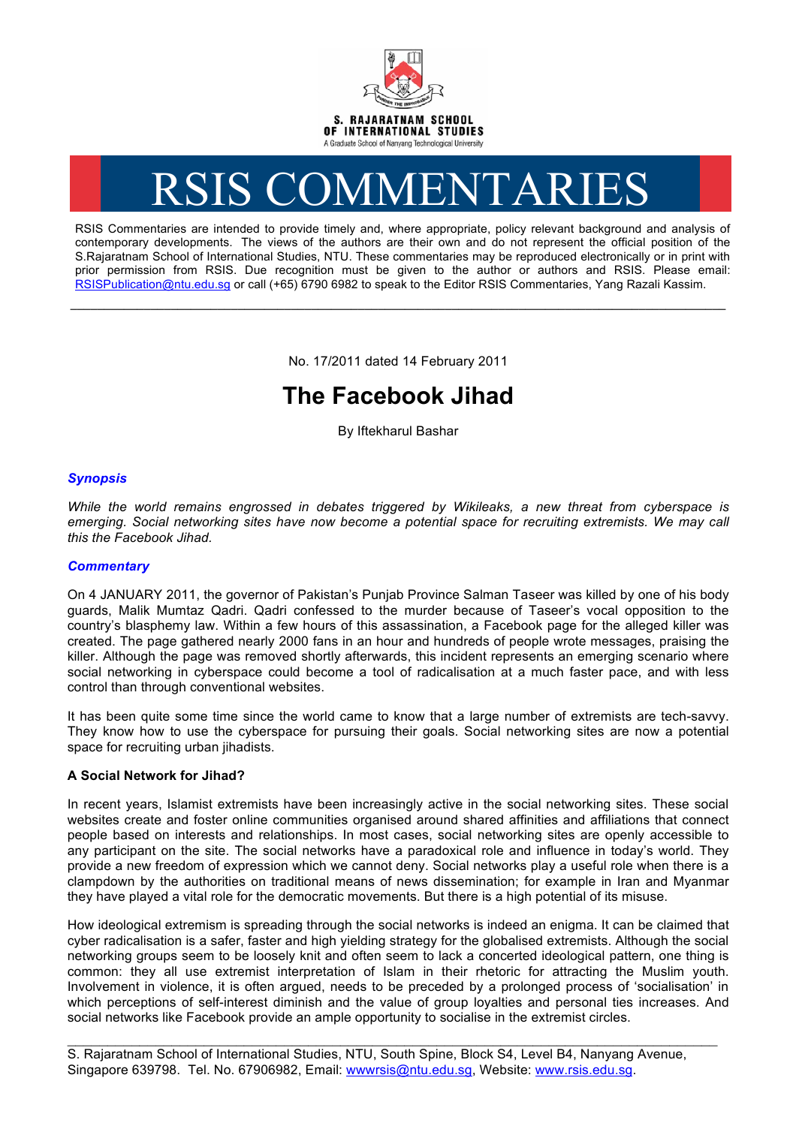

# RSIS COMMENTARIES

RSIS Commentaries are intended to provide timely and, where appropriate, policy relevant background and analysis of contemporary developments. The views of the authors are their own and do not represent the official position of the S.Rajaratnam School of International Studies, NTU. These commentaries may be reproduced electronically or in print with prior permission from RSIS. Due recognition must be given to the author or authors and RSIS. Please email: RSISPublication@ntu.edu.sg or call (+65) 6790 6982 to speak to the Editor RSIS Commentaries, Yang Razali Kassim.

No. 17/2011 dated 14 February 2011

**\_\_\_\_\_\_\_\_\_\_\_\_\_\_\_\_\_\_\_\_\_\_\_\_\_\_\_\_\_\_\_\_\_\_\_\_\_\_\_\_\_\_\_\_\_\_\_\_\_\_\_\_\_\_\_\_\_\_\_\_\_\_\_\_\_\_\_\_\_\_\_\_\_\_\_\_\_\_\_\_\_\_\_\_\_\_\_\_\_\_\_\_\_\_\_\_\_\_**

# **The Facebook Jihad**

By Iftekharul Bashar

## *Synopsis*

*While the world remains engrossed in debates triggered by Wikileaks, a new threat from cyberspace is emerging. Social networking sites have now become a potential space for recruiting extremists. We may call this the Facebook Jihad.*

## *Commentary*

On 4 JANUARY 2011, the governor of Pakistan's Punjab Province Salman Taseer was killed by one of his body guards, Malik Mumtaz Qadri. Qadri confessed to the murder because of Taseer's vocal opposition to the country's blasphemy law. Within a few hours of this assassination, a Facebook page for the alleged killer was created. The page gathered nearly 2000 fans in an hour and hundreds of people wrote messages, praising the killer. Although the page was removed shortly afterwards, this incident represents an emerging scenario where social networking in cyberspace could become a tool of radicalisation at a much faster pace, and with less control than through conventional websites.

It has been quite some time since the world came to know that a large number of extremists are tech-savvy. They know how to use the cyberspace for pursuing their goals. Social networking sites are now a potential space for recruiting urban iihadists.

## **A Social Network for Jihad?**

In recent years, Islamist extremists have been increasingly active in the social networking sites. These social websites create and foster online communities organised around shared affinities and affiliations that connect people based on interests and relationships. In most cases, social networking sites are openly accessible to any participant on the site. The social networks have a paradoxical role and influence in today's world. They provide a new freedom of expression which we cannot deny. Social networks play a useful role when there is a clampdown by the authorities on traditional means of news dissemination; for example in Iran and Myanmar they have played a vital role for the democratic movements. But there is a high potential of its misuse.

How ideological extremism is spreading through the social networks is indeed an enigma. It can be claimed that cyber radicalisation is a safer, faster and high yielding strategy for the globalised extremists. Although the social networking groups seem to be loosely knit and often seem to lack a concerted ideological pattern, one thing is common: they all use extremist interpretation of Islam in their rhetoric for attracting the Muslim youth. Involvement in violence, it is often argued, needs to be preceded by a prolonged process of 'socialisation' in which perceptions of self-interest diminish and the value of group loyalties and personal ties increases. And social networks like Facebook provide an ample opportunity to socialise in the extremist circles.